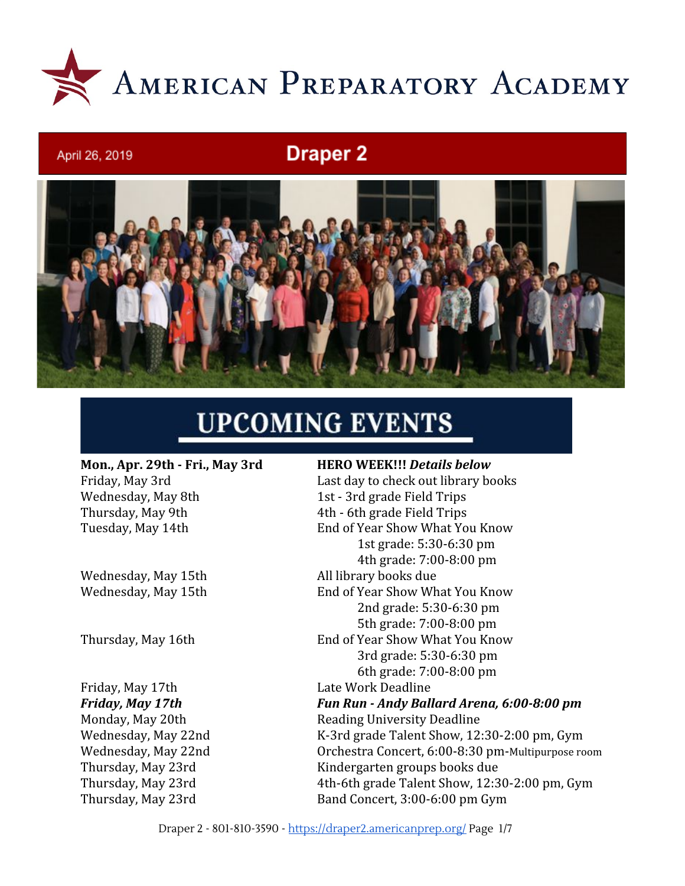

# **Draper 2**



# **UPCOMING EVENTS**

**Mon., Apr. 29th - Fri., May 3rd HERO WEEK!!!** *Details below* Wednesday, May 8th 1st - 3rd grade Field Trips Thursday, May 9th 4th - 6th grade Field Trips

Wednesday, May 15th All library books due

April 26, 2019

Friday, May 17th Late Work Deadline

Friday, May 3rd **Last day to check out library books** Tuesday, May 14th End of Year Show What You Know 1st grade: 5:30-6:30 pm 4th grade: 7:00-8:00 pm Wednesday, May 15th End of Year Show What You Know 2nd grade: 5:30-6:30 pm 5th grade: 7:00-8:00 pm Thursday, May 16th End of Year Show What You Know 3rd grade: 5:30-6:30 pm 6th grade: 7:00-8:00 pm *Friday, May 17th Fun Run - Andy Ballard Arena, 6:00-8:00 pm* Monday, May 20th Reading University Deadline Wednesday, May 22nd K-3rd grade Talent Show, 12:30-2:00 pm, Gym

Wednesday, May 22nd Orchestra Concert, 6:00-8:30 pm-Multipurpose room Thursday, May 23rd Kindergarten groups books due Thursday, May 23rd 4th-6th grade Talent Show, 12:30-2:00 pm, Gym Thursday, May 23rd Band Concert, 3:00-6:00 pm Gym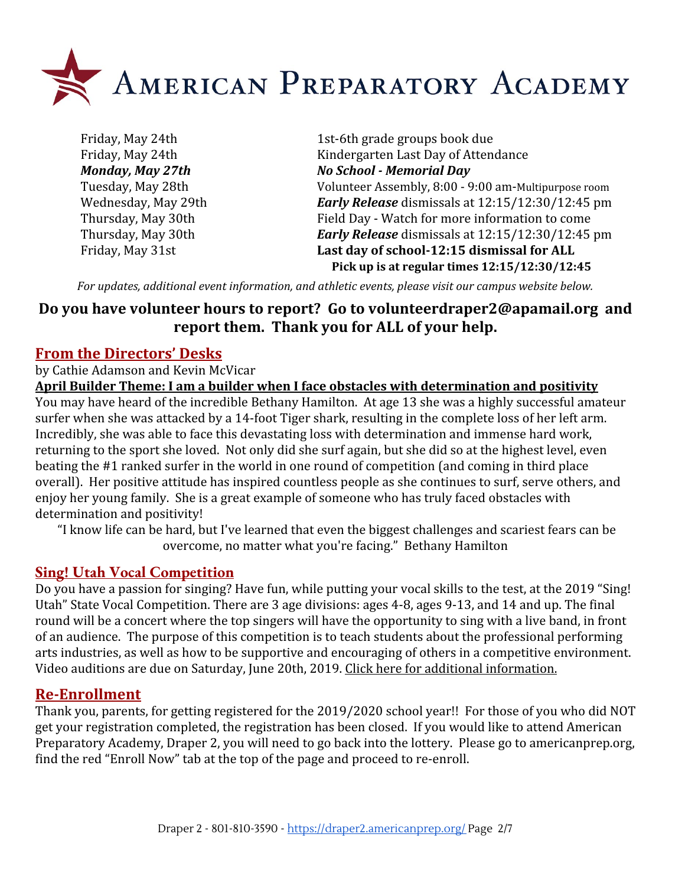

Friday, May 24th 1st-6th grade groups book due Friday, May 24th Kindergarten Last Day of Attendance *Monday, May 27th No School - Memorial Day* Tuesday, May 28th Volunteer Assembly, 8:00 - 9:00 am-Multipurpose room Wednesday, May 29th *Early Release* dismissals at 12:15/12:30/12:45 pm Thursday, May 30th Field Day - Watch for more information to come Thursday, May 30th *Early Release* dismissals at 12:15/12:30/12:45 pm Friday, May 31st **Last day of school-12:15 dismissal for ALL Pick up is at regular times 12:15/12:30/12:45**

*For updates, additional event information, and athletic events, please visit our campus website below.*

# **Do you have volunteer hours to report? Go to [volunteerdraper2@apamail.org](mailto:volunteerdraper2@apamail.org) and report them. Thank you for ALL of your help.**

#### **From the Directors' Desks**

by Cathie Adamson and Kevin McVicar

**April Builder Theme: I am a builder when I face obstacles with determination and positivity** You may have heard of the incredible Bethany Hamilton. At age 13 she was a highly successful amateur surfer when she was attacked by a 14-foot Tiger shark, resulting in the complete loss of her left arm. Incredibly, she was able to face this devastating loss with determination and immense hard work, returning to the sport she loved. Not only did she surf again, but she did so at the highest level, even beating the #1 ranked surfer in the world in one round of competition (and coming in third place overall). Her positive attitude has inspired countless people as she continues to surf, serve others, and enjoy her young family. She is a great example of someone who has truly faced obstacles with determination and positivity!

 "I know life can be hard, but I've learned that even the biggest challenges and scariest fears can be overcome, no matter what you're facing." Bethany Hamilton

#### **Sing! Utah Vocal Competition**

Do you have a passion for singing? Have fun, while putting your vocal skills to the test, at the 2019 "Sing! Utah" State Vocal Competition. There are 3 age divisions: ages 4-8, ages 9-13, and 14 and up. The final round will be a concert where the top singers will have the opportunity to sing with a live band, in front of an audience. The purpose of this competition is to teach students about the professional performing arts industries, as well as how to be supportive and encouraging of others in a competitive environment. Video auditions are due on Saturday, June 20th, 2019. [Click here for additional information.](https://draper3.americanprep.org/wp-content/uploads/sites/276/2019/04/Sing-Utah-2019-Vocal-Comp-Poster.jpg)

#### **Re-Enrollment**

Thank you, parents, for getting registered for the 2019/2020 school year!! For those of you who did NOT get your registration completed, the registration has been closed. If you would like to attend American Preparatory Academy, Draper 2, you will need to go back into the lottery. Please go to americanprep.org, find the red "Enroll Now" tab at the top of the page and proceed to re-enroll.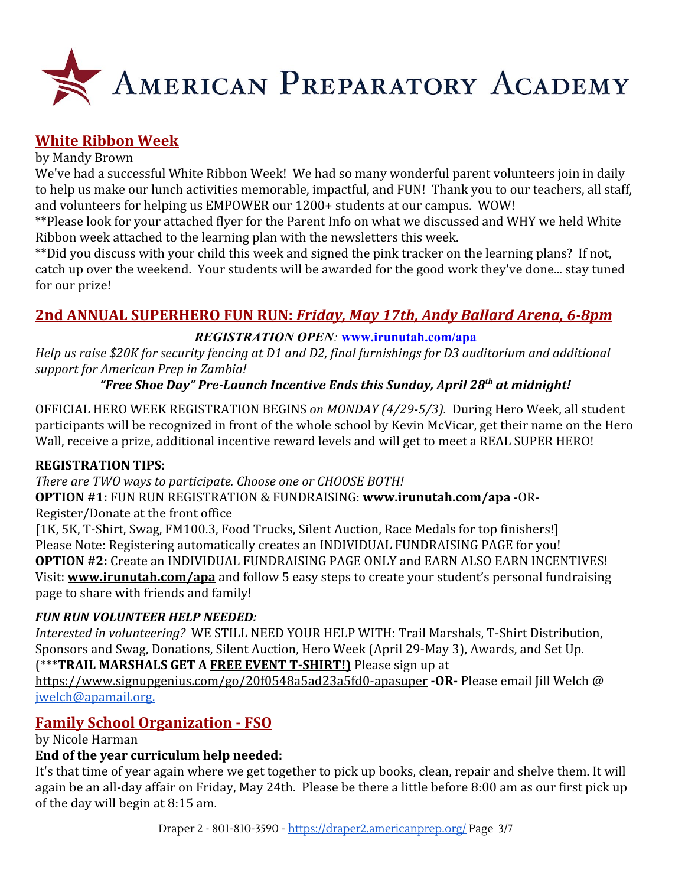

## **White Ribbon Week**

#### by Mandy Brown

We've had a successful White Ribbon Week! We had so many wonderful parent volunteers join in daily to help us make our lunch activities memorable, impactful, and FUN! Thank you to our teachers, all staff, and volunteers for helping us EMPOWER our 1200+ students at our campus. WOW!

\*\*Please look for your attached flyer for the Parent Info on what we discussed and WHY we held White Ribbon week attached to the learning plan with the newsletters this week.

\*\*Did you discuss with your child this week and signed the pink tracker on the learning plans? If not, catch up over the weekend. Your students will be awarded for the good work they've done... stay tuned for our prize!

# **2nd ANNUAL SUPERHERO FUN RUN:** *Friday, May 17th, Andy Ballard Arena, 6-8pm*

#### *REGISTRATION OPEN:* **[www.irunutah.com/apa](http://www.irunutah.com/apa)**

*Help us raise \$20K for security fencing at D1 and D2, final furnishings for D3 auditorium and additional support for American Prep in Zambia!*

#### *"Free Shoe Day" Pre-Launch Incentive Ends this Sunday, April 28th at midnight!*

OFFICIAL HERO WEEK REGISTRATION BEGINS *on MONDAY (4/29-5/3).* During Hero Week, all student participants will be recognized in front of the whole school by Kevin McVicar, get their name on the Hero Wall, receive a prize, additional incentive reward levels and will get to meet a REAL SUPER HERO!

#### **REGISTRATION TIPS:**

*There are TWO ways to participate. Choose one or CHOOSE BOTH!*

#### **OPTION #1:** FUN RUN REGISTRATION & FUNDRAISING: **[www.irunutah.com/apa](http://www.irunutah.com/apa)** -OR-Register/Donate at the front office

[1K, 5K, T-Shirt, Swag, FM100.3, Food Trucks, Silent Auction, Race Medals for top finishers!] Please Note: Registering automatically creates an INDIVIDUAL FUNDRAISING PAGE for you! **OPTION #2:** Create an INDIVIDUAL FUNDRAISING PAGE ONLY and EARN ALSO EARN INCENTIVES! Visit: **[www.irunutah.com/apa](http://www.irunutah.com/apa)** and follow 5 easy steps to create your student's personal fundraising page to share with friends and family!

#### *FUN RUN VOLUNTEER HELP NEEDED:*

*Interested in volunteering?* WE STILL NEED YOUR HELP WITH: Trail Marshals, T-Shirt Distribution, Sponsors and Swag, Donations, Silent Auction, Hero Week (April 29-May 3), Awards, and Set Up. (\*\*\***TRAIL MARSHALS GET A FREE EVENT T-SHIRT!)** Please sign up at

<https://www.signupgenius.com/go/20f0548a5ad23a5fd0-apasuper> **-OR-** Please email Jill Welch @ [jwelch@apamail.org.](mailto:jwelch@apamail.org)

# **Family School Organization - FSO**

by Nicole Harman

#### **End of the year curriculum help needed:**

It's that time of year again where we get together to pick up books, clean, repair and shelve them. It will again be an all-day affair on Friday, May 24th. Please be there a little before 8:00 am as our first pick up of the day will begin at 8:15 am.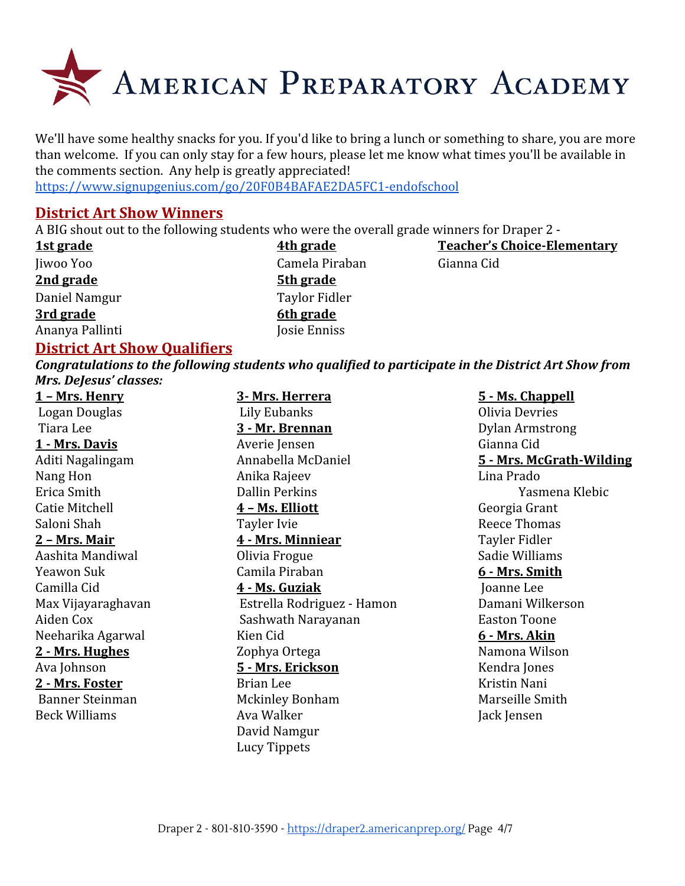

We'll have some healthy snacks for you. If you'd like to bring a lunch or something to share, you are more than welcome. If you can only stay for a few hours, please let me know what times you'll be available in the comments section. Any help is greatly appreciated!

<https://www.signupgenius.com/go/20F0B4BAFAE2DA5FC1-endofschool>

#### **District Art Show Winners**

A BIG shout out to the following students who were the overall grade winners for Draper 2 -

| 1st grade       | 4th grade        | <b>Teacher's Choice-Elementary</b> |
|-----------------|------------------|------------------------------------|
| Jiwoo Yoo       | Camela Piraban   | Gianna Cid                         |
| 2nd grade       | <b>5th grade</b> |                                    |
| Daniel Namgur   | Taylor Fidler    |                                    |
| 3rd grade       | 6th grade        |                                    |
| Ananya Pallinti | Josie Enniss     |                                    |

#### **District Art Show Qualifiers**

*Congratulations to the following students who qualified to participate in the District Art Show from Mrs. DeJesus' classes:*

| 1 - Mrs. Henry       | 3- Mrs. Herrera            | 5 - Ms. Chappell         |
|----------------------|----------------------------|--------------------------|
| Logan Douglas        | Lily Eubanks               | Olivia Devries           |
| Tiara Lee            | 3 - Mr. Brennan            | <b>Dylan Armstrong</b>   |
| 1 - Mrs. Davis       | Averie Jensen              | Gianna Cid               |
| Aditi Nagalingam     | Annabella McDaniel         | 5 - Mrs. McGrath-Wilding |
| Nang Hon             | Anika Rajeev               | Lina Prado               |
| Erica Smith          | <b>Dallin Perkins</b>      | Yasmena Klebic           |
| Catie Mitchell       | 4 - Ms. Elliott            | Georgia Grant            |
| Saloni Shah          | Tayler Ivie                | Reece Thomas             |
| <u>2 - Mrs. Mair</u> | 4 - Mrs. Minniear          | Tayler Fidler            |
| Aashita Mandiwal     | Olivia Frogue              | Sadie Williams           |
| Yeawon Suk           | Camila Piraban             | 6 - Mrs. Smith           |
| Camilla Cid          | 4 - Ms. Guziak             | Joanne Lee               |
| Max Vijayaraghavan   | Estrella Rodriguez - Hamon | Damani Wilkerson         |
| Aiden Cox            | Sashwath Narayanan         | <b>Easton Toone</b>      |
| Neeharika Agarwal    | Kien Cid                   | 6 - Mrs. Akin            |
| 2 - Mrs. Hughes      | Zophya Ortega              | Namona Wilson            |
| Ava Johnson          | 5 - Mrs. Erickson          | Kendra Jones             |
| 2 - Mrs. Foster      | Brian Lee                  | Kristin Nani             |
| Banner Steinman      | <b>Mckinley Bonham</b>     | Marseille Smith          |
| <b>Beck Williams</b> | Ava Walker                 | Jack Jensen              |
|                      | David Namgur               |                          |
|                      | <b>Lucy Tippets</b>        |                          |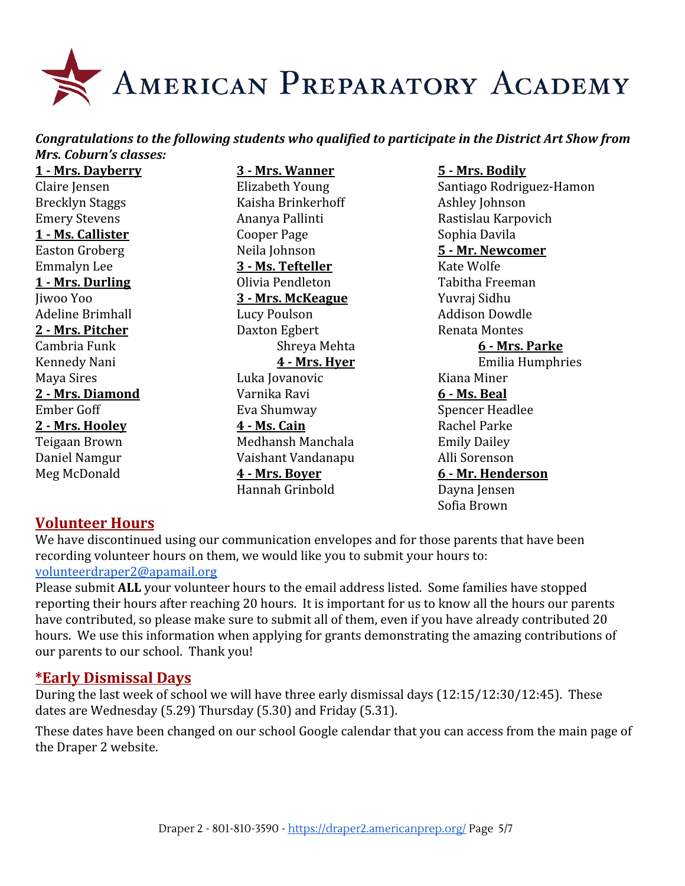

#### *Congratulations to the following students who qualified to participate in the District Art Show from Mrs. Coburn's classes:*

**1 - Mrs. Dayberry 3 - Mrs. Wanner 5 - Mrs. Bodily**

Brecklyn Staggs Kaisha Brinkerhoff Ashley Johnson Emery Stevens **Ananya Pallinti** Rastislau Karpovich **1 - Ms. Callister** Cooper Page Sophia Davila Easton Groberg Neila Johnson **5 - Mr. Newcomer** Emmalyn Lee **3 - Ms. Tefteller** Kate Wolfe **1 - Mrs. Durling Community Colivia Pendleton** Tabitha Freeman Jiwoo Yoo **3 - Mrs. McKeague** Yuvraj Sidhu Adeline Brimhall **Lucy Poulson** Lucy Poulson **Addison Dowdle** 2 - Mrs. Pitcher **Daxton Egbert** Renata Montes Maya Sires **Maya Sires** Euka Jovanovic **Research American** Kiana Miner **2 - Mrs. Diamond** Varnika Ravi **6 - Ms. Beal** Ember Goff **Eva Shumway** Spencer Headlee **2 - Mrs. Hooley 4 - Ms. Cain** Rachel Parke Teigaan Brown Medhansh Manchala Emily Dailey Daniel Namgur Vaishant Vandanapu Alli Sorenson Meg McDonald **4 - Mrs. Boyer 6 - Mr. Henderson** Hannah Grinbold Dayna Jensen

Claire Jensen Elizabeth Young Santiago Rodriguez-Hamon Cambria Funk Shreya Mehta **6 - Mrs. Parke** Kennedy Nani **4 - Mrs. Hyer** Emilia Humphries Sofia Brown

#### **Volunteer Hours**

We have discontinued using our communication envelopes and for those parents that have been recording volunteer hours on them, we would like you to submit your hours to: [volunteerdraper2@apamail.org](mailto:volunteerdraper2@apamail.org)

Please submit **ALL** your volunteer hours to the email address listed. Some families have stopped reporting their hours after reaching 20 hours. It is important for us to know all the hours our parents have contributed, so please make sure to submit all of them, even if you have already contributed 20 hours. We use this information when applying for grants demonstrating the amazing contributions of our parents to our school. Thank you!

#### **\*Early Dismissal Days**

During the last week of school we will have three early dismissal days (12:15/12:30/12:45). These dates are Wednesday (5.29) Thursday (5.30) and Friday (5.31).

These dates have been changed on our school Google calendar that you can access from the main page of the Draper 2 website.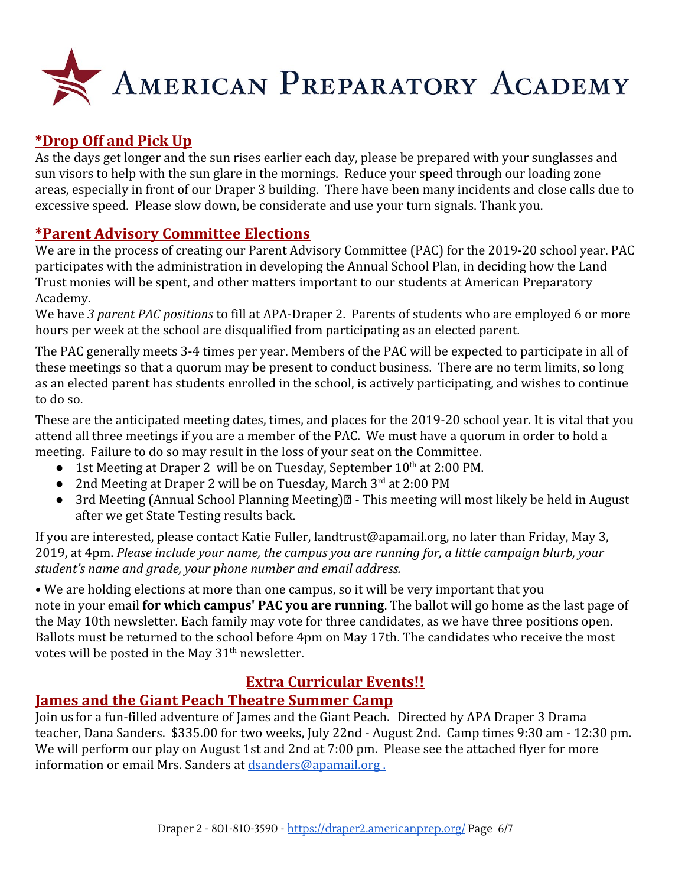

# **\*Drop Off and Pick Up**

As the days get longer and the sun rises earlier each day, please be prepared with your sunglasses and sun visors to help with the sun glare in the mornings. Reduce your speed through our loading zone areas, especially in front of our Draper 3 building. There have been many incidents and close calls due to excessive speed. Please slow down, be considerate and use your turn signals. Thank you.

### **\*Parent Advisory Committee Elections**

We are in the process of creating our Parent Advisory Committee (PAC) for the 2019-20 school year. PAC participates with the administration in developing the Annual School Plan, in deciding how the Land Trust monies will be spent, and other matters important to our students at American Preparatory Academy.

We have *3 parent PAC positions* to fill at APA-Draper 2. Parents of students who are employed 6 or more hours per week at the school are disqualified from participating as an elected parent.

The PAC generally meets 3-4 times per year. Members of the PAC will be expected to participate in all of these meetings so that a quorum may be present to conduct business. There are no term limits, so long as an elected parent has students enrolled in the school, is actively participating, and wishes to continue to do so.

These are the anticipated meeting dates, times, and places for the 2019-20 school year. It is vital that you attend all three meetings if you are a member of the PAC. We must have a quorum in order to hold a meeting. Failure to do so may result in the loss of your seat on the Committee.

- 1st Meeting at Draper 2 will be on Tuesday, September 10<sup>th</sup> at 2:00 PM.
- 2nd Meeting at Draper 2 will be on Tuesday, March 3<sup>rd</sup> at 2:00 PM
- 3rd Meeting (Annual School Planning Meeting) $\mathbb{Z}$  This meeting will most likely be held in August after we get State Testing results back.

If you are interested, please contact Katie Fuller, landtrust@apamail.org, no later than Friday, May 3, 2019, at 4pm. *Please include your name, the campus you are running for, a little campaign blurb, your student's name and grade, your phone number and email address.*

• We are holding elections at more than one campus, so it will be very important that you note in your email **for which campus' PAC you are running**. The ballot will go home as the last page of the May 10th newsletter. Each family may vote for three candidates, as we have three positions open. Ballots must be returned to the school before 4pm on May 17th. The candidates who receive the most votes will be posted in the May  $31<sup>th</sup>$  newsletter.

# **Extra Curricular Events!!**

#### **James and the Giant Peach Theatre Summer Camp**

Join us for a fun-filled adventure of James and the Giant Peach. Directed by APA Draper 3 Drama teacher, Dana Sanders. \$335.00 for two weeks, July 22nd - August 2nd. Camp times 9:30 am - 12:30 pm. We will perform our play on August 1st and 2nd at 7:00 pm. Please see the attached flyer for more information or email Mrs. Sanders at [dsanders@apamail.org .](mailto:dsanders@apamail.org)